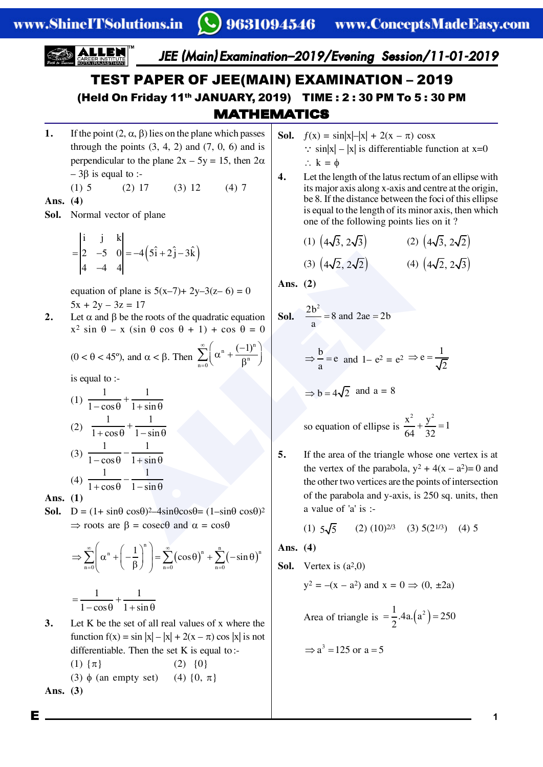

1. If the point  $(2, \alpha, \beta)$  lies on the plane which passes through the points  $(3, 4, 2)$  and  $(7, 0, 6)$  and is perpendicular to the plane  $2x - 5y = 15$ , then  $2\alpha$  $-3\beta$  is equal to :-

> $(1)$  5  $(3) 12$  $(4)7$  $(2)$  17

Ans.  $(4)$ 

**Sol.** Normal vector of plane

$$
= \begin{vmatrix} i & j & k \\ 2 & -5 & 0 \\ 4 & -4 & 4 \end{vmatrix} = -4(5\hat{i} + 2\hat{j} - 3\hat{k})
$$

equation of plane is  $5(x-7)+ 2y-3(z-6) = 0$  $5x + 2y - 3z = 17$ 

 $2.$ Let  $\alpha$  and  $\beta$  be the roots of the quadratic equation  $x^2 \sin \theta - x (\sin \theta \cos \theta + 1) + \cos \theta = 0$ 

$$
(0 < \theta < 45^{\circ})
$$
, and  $\alpha < \beta$ . Then  $\sum_{n=0}^{\infty} \left( \alpha^{n} + \frac{(-1)^{n}}{\beta^{n}} \right)$ 

is equal to :-

(1) 
$$
\frac{1}{1-\cos\theta} + \frac{1}{1+\sin\theta}
$$
  
(2) 
$$
\frac{1}{1+\cos\theta} + \frac{1}{1-\sin\theta}
$$
  
(3) 
$$
\frac{1}{1-\cos\theta} - \frac{1}{1+\sin\theta}
$$
  
(4) 
$$
\frac{1}{1+\cos\theta} - \frac{1}{1-\sin\theta}
$$

Ans.  $(1)$ 

**Sol.** D =  $(1 + \sin\theta \cos\theta)^2 - 4\sin\theta \cos\theta = (1 - \sin\theta \cos\theta)^2$  $\Rightarrow$  roots are  $\beta = \csc \theta$  and  $\alpha = \cos \theta$ 

$$
\Rightarrow \sum_{n=0}^{\infty} \left( \alpha^n + \left( -\frac{1}{\beta} \right)^n \right) = \sum_{n=0}^{\infty} (\cos \theta)^n + \sum_{n=0}^n (-\sin \theta)^n
$$

$$
= \frac{1}{1 - \cos \theta} + \frac{1}{1 + \sin \theta}
$$

- $3.$ Let  $K$  be the set of all real values of  $x$  where the function  $f(x) = \sin |x| - |x| + 2(x - \pi) \cos |x|$  is not differentiable. Then the set  $K$  is equal to:-
	- $(1) \{\pi\}$  $(2) \{0\}$  $(3)$   $\phi$  (an empty set) (4)  $\{0, \pi\}$

Ans.  $(3)$ 

Е

- **Sol.**  $f(x) = \sin|x| |x| + 2(x \pi) \cos x$  $\therefore$  sin|x| – |x| is differentiable function at x=0  $\therefore$  k =  $\phi$
- Let the length of the latus rectum of an ellipse with  $\overline{4}$ . its major axis along x-axis and centre at the origin, be 8. If the distance between the foci of this ellipse is equal to the length of its minor axis, then which one of the following points lies on it?

(1) 
$$
(4\sqrt{3}, 2\sqrt{3})
$$
  
(2)  $(4\sqrt{3}, 2\sqrt{2})$   
(3)  $(4\sqrt{2}, 2\sqrt{2})$   
(4)  $(4\sqrt{2}, 2\sqrt{3})$ 

Ans.  $(2)$ 

**Sol.** 
$$
\frac{2b^2}{a} = 8
$$
 and  $2ae = 2b$ 

$$
\Rightarrow \frac{b}{a} = e \text{ and } 1 - e^2 = e^2 \Rightarrow e = \frac{1}{\sqrt{2}}
$$

$$
\Rightarrow
$$
 b = 4 $\sqrt{2}$  and a = 8

so equation of ellipse is 
$$
\frac{x^2}{64} + \frac{y^2}{32} = 1
$$

5. If the area of the triangle whose one vertex is at the vertex of the parabola,  $y^2 + 4(x - a^2) = 0$  and the other two vertices are the points of intersection of the parabola and y-axis, is 250 sq. units, then a value of  $'a'$  is :-

$$
(1) 5\sqrt{5} \qquad (2) (10)^{2/3} \quad (3) 5(2^{1/3}) \quad (4) 5
$$

Ans.  $(4)$ 

**Sol.** Vertex is 
$$
(a^2,0)
$$

$$
y^2 = -(x - a^2)
$$
 and  $x = 0 \implies (0, \pm 2a)$ 

Area of triangle is  $= \frac{1}{2}$ .4a. $(a^2) = 250$ 

$$
\Rightarrow
$$
 a<sup>3</sup> = 125 or a = 5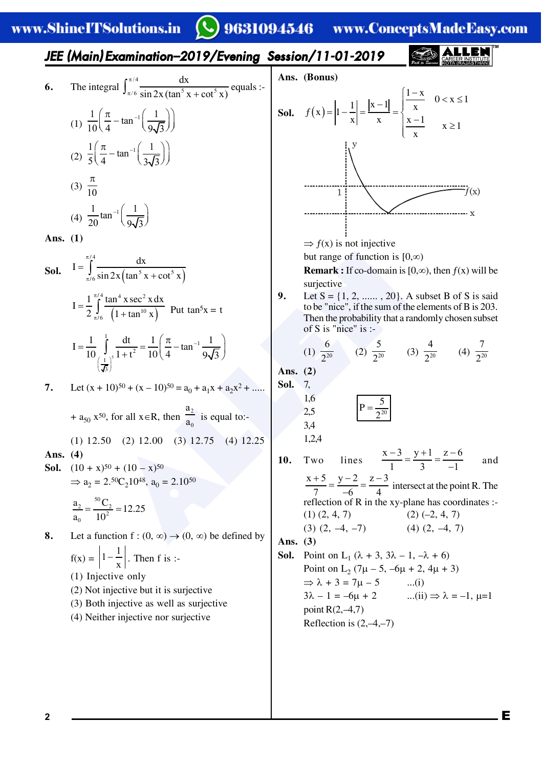#### 9631094546

www.ConceptsMadeEasy.com

## JEE (Main) Examination-2019/Evening Session/11-01-2019

6. The integral 
$$
\int_{\pi/6}^{\pi/4} \frac{dx}{\sin 2x (\tan^5 x + \cot^5 x)}
$$
 equals :  
\n(1)  $\frac{1}{10} \left( \frac{\pi}{4} - \tan^{-1} \left( \frac{1}{9\sqrt{3}} \right) \right)$   
\n(2)  $\frac{1}{5} \left( \frac{\pi}{4} - \tan^{-1} \left( \frac{1}{3\sqrt{3}} \right) \right)$   
\n(3)  $\frac{\pi}{10}$ 

(4) 
$$
\frac{1}{20} \tan^{-1} \left( \frac{1}{9\sqrt{3}} \right)
$$

Ans.  $(1)$ 

**Sol.** 
$$
I = \int_{\pi/6}^{\pi/4} \frac{dx}{\sin 2x (\tan^5 x + \cot^5 x)}
$$
  
\n
$$
I = \frac{1}{2} \int_{\pi/6}^{\pi/4} \frac{\tan^4 x \sec^2 x dx}{(1 + \tan^{10} x)}
$$
 Put  $\tan^5 x = t$   
\n
$$
I = \frac{1}{10} \int_{\left(\frac{1}{\sqrt{3}}\right)^5}^1 \frac{dt}{1 + t^2} = \frac{1}{10} \left(\frac{\pi}{4} - \tan^{-1} \frac{1}{9\sqrt{3}}\right)
$$
  
\n**7.** Let  $(x + 10)^{50} + (x - 10)^{50} = a_0 + a_1x + a_2x^2 - a_1x + a_2x^2$ 

+  $a_{50}$  x<sup>50</sup>, for all x  $\in$  R, then  $a_0$  is equal to:-

 $(1)$  12.50  $(2)$  12.00  $(3)$  12.75  $(4)$  12.25 Ans.  $(4)$ 

**Sol.**  $(10 + x)^{50} + (10 - x)^{50}$  $\Rightarrow$  a<sub>2</sub> = 2.<sup>50</sup>C<sub>2</sub>10<sup>48</sup>, a<sub>0</sub> = 2.10<sup>50</sup>

$$
\frac{a_2}{a_0} = \frac{{}^{50}C_2}{10^2} = 12.25
$$

8. Let a function  $f:(0, \infty) \to (0, \infty)$  be defined by  $f(x) = \left|1 - \frac{1}{x}\right|$ . Then f is :- $(1)$  Injective only

- (2) Not injective but it is surjective
- (3) Both injective as well as surjective
- (4) Neither injective nor surjective



 $\Rightarrow$  f(x) is not injective

but range of function is  $[0,\infty)$ 

**Remark :** If co-domain is [0, $\infty$ ), then  $f(x)$  will be surjective

9. Let  $S = \{1, 2, \dots, 20\}$ . A subset B of S is said to be "nice", if the sum of the elements of B is 203. Then the probability that a randomly chosen subset of S is "nice" is :-

(1) 
$$
\frac{6}{2^{20}}
$$
 (2)  $\frac{5}{2^{20}}$  (3)  $\frac{4}{2^{20}}$  (4)  $\frac{7}{2^{20}}$ 

Ans.  $(2)$ Sol.  $7<sub>1</sub>$ 

> 1,6  $2,5$

 $3.4$  $1.2.4$ 

$$
P = \frac{5}{2^{20}}
$$

lines  $\frac{x-3}{1} = \frac{y+1}{3} = \frac{z-6}{-1}$ Two 10. and  $\frac{x+5}{7} = \frac{y-2}{-6} = \frac{z-3}{4}$  intersect at the point R. The reflection of R in the xy-plane has coordinates :- $(1)$   $(2, 4, 7)$  $(2) (-2, 4, 7)$  $(3)$   $(2, -4, -7)$  $(4)$   $(2, -4, 7)$ Ans.  $(3)$ **Sol.** Point on L<sub>1</sub> ( $\lambda$  + 3, 3 $\lambda$  – 1, - $\lambda$  + 6)

Point on L<sub>2</sub>  $(7\mu - 5, -6\mu + 2, 4\mu + 3)$  $\Rightarrow \lambda + 3 = 7\mu - 5$  $\dots(i)$  $3\lambda - 1 = -6\mu + 2$  $...(ii) \Rightarrow \lambda = -1, \mu=1$ point  $R(2,-4,7)$ Reflection is  $(2,-4,-7)$ 

Е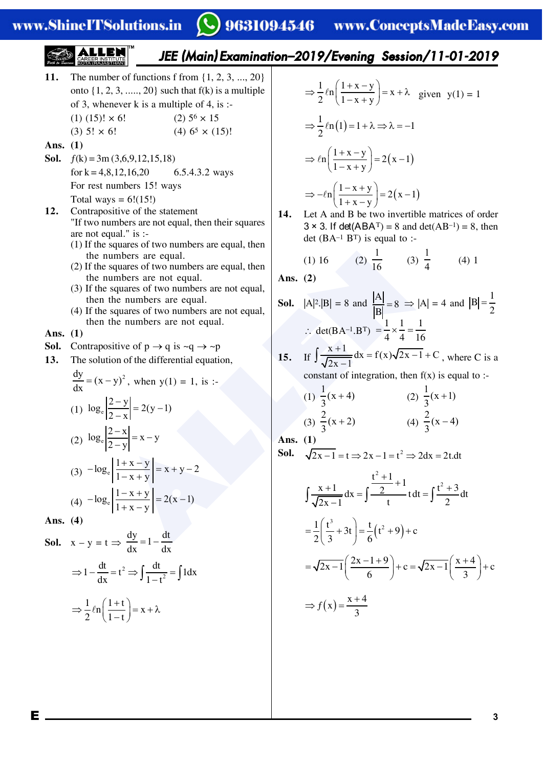# ◯ 9631094546 www.ConceptsMadeEasy.com

**EXECUTE:** The number of functions 1 from (1, 2, 3, ..., 20)  
\nonto (1, 2, 3, ..., 20)  
\nof x, where x is 1 and y is 2.00  
\n(b) 5.100  
\n**EXECUTE:** The number of functions 1 from (1, 2, 3, ..., 20)  
\n
$$
(3) 5! \times 6! \qquad (2) 5^6 \times 15
$$
\n
$$
(3) 5! \times 6! \qquad (4) 6^5 \times (15)! \qquad \Rightarrow \frac{1}{2}ln(1) -1+ \lambda \Rightarrow \lambda = -1
$$
\n**Ans.** (1)  
\n**Ans.** (2)  
\n**Ans.** (3)  
\n**Ans.** (3)  
\n**Ans.** (4)  
\n**Ans.** (1)  
\n**Ans.** (3)  
\n**Ans.** (4)  
\n**Ans.** (5)  
\n**Ans.** (6)  
\n**Ans.** (1)  
\n**Ans.** (2)  
\n**Ans.** (3)  
\n**Ans.** (3)  
\n**Ans.** (4)  
\n**Ans.** (5)  
\n**Ans.** (6)  
\n**Ans.** (7)  
\n**Ans.** (8)  
\n**Ans.** (1)  
\n**Ans.** (2)  
\n**Ans.** (3)  
\n**Ans.** (3)  
\n**Ans.** (4)  
\n**Ans.** (5)  
\n**Ans.** (6)  
\n**Ans.** (1)  
\n**Ans.** (2)  
\n**Ans.** (3)  
\n**Ans.** (3)  
\n**Ans.** (4)  
\n**Ans.** (5)  
\n**Ans.** (6)  
\n**Ans.** (7)  
\n**Ans.** (8)  
\n**Ans.** (9)  
\n**Ans.** (1)  
\n**Ans.** (1)  
\n**Ans.** (2)  
\n**Ans.** (3)  
\n**Ans.** (4)  
\n**Ans.** (5)  
\n**Ans.** (6)  
\n**Ans.** (7)  
\n**Ans.** (9)  
\n**Ans.** (1)  
\n**Ans.**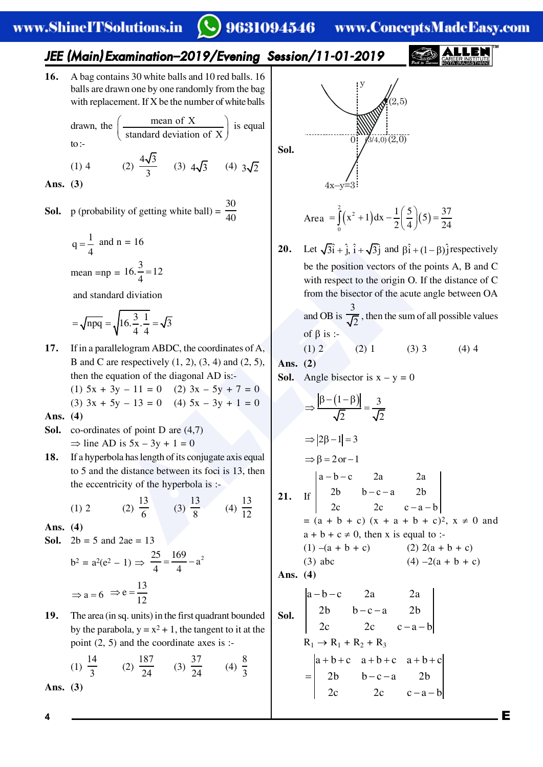## 9631094546 www.ConceptsMadeEasy.com

### JEE (Main) Examination-2019/Evening Session/11-01-2019

16. A bag contains 30 white balls and 10 red balls. 16 balls are drawn one by one randomly from the bag with replacement. If X be the number of white balls

> drawn, the  $\left(\frac{\text{mean of } X}{\text{standard deviation of } X}\right)$  is equal to: $-$

(2)  $\frac{4\sqrt{3}}{3}$  (3)  $4\sqrt{3}$  (4)  $3\sqrt{2}$  $(1)$  4

Ans.  $(3)$ 

- **Sol.** p (probability of getting white ball) =  $\frac{30}{40}$ 
	- $q = \frac{1}{4}$  and n = 16 mean = np =  $16.\frac{3}{4}$  = 12

and standard diviation

$$
= \sqrt{npq} = \sqrt{16 \cdot \frac{3}{4} \cdot \frac{1}{4}} = \sqrt{3}
$$

17. If in a parallelogram ABDC, the coordinates of A, B and C are respectively  $(1, 2)$ ,  $(3, 4)$  and  $(2, 5)$ , then the equation of the diagonal AD is:-(1)  $5x + 3y - 11 = 0$  (2)  $3x - 5y + 7 = 0$  $(3)$  3x + 5y - 13 = 0 (4) 5x - 3y + 1 = 0

Ans.  $(4)$ 

- **Sol.** co-ordinates of point D are  $(4,7)$  $\Rightarrow$  line AD is  $5x - 3y + 1 = 0$
- If a hyperbola has length of its conjugate axis equal 18. to 5 and the distance between its foci is 13, then the eccentricity of the hyperbola is :-

(2)  $\frac{13}{6}$  (3)  $\frac{13}{9}$  (4)  $\frac{13}{12}$  $(1) 2$ 

Ans.  $(4)$ 

**Sol.**  $2b = 5$  and  $2ae = 13$ 

$$
b2 = a2(e2 - 1) \Rightarrow \frac{25}{4} = \frac{169}{4} - a2
$$

$$
\Rightarrow a = 6 \Rightarrow e = \frac{13}{12}
$$

19. The area (in sq. units) in the first quadrant bounded by the parabola,  $y = x^2 + 1$ , the tangent to it at the point  $(2, 5)$  and the coordinate axes is :-

(1) 
$$
\frac{14}{3}
$$
 (2)  $\frac{187}{24}$  (3)  $\frac{37}{24}$  (4)  $\frac{8}{3}$ 

Ans.  $(3)$ 



Area 
$$
=\int_{0}^{2} (x^{2} + 1) dx - \frac{1}{2} (\frac{5}{4}) (5) = \frac{37}{24}
$$

Let  $\sqrt{3}i + i$ ,  $i + \sqrt{3}i$  and  $\beta i + (1 - \beta)i$  respectively 20. be the position vectors of the points A, B and C with respect to the origin O. If the distance of C from the bisector of the acute angle between OA

> and OB is  $\frac{3}{\sqrt{2}}$ , then the sum of all possible values of  $\beta$  is :-

> > $\boldsymbol{\Delta}$

$$
(2) 1 \t(3) 3 \t(4)
$$

Ans.  $(2)$ 

 $(1)$ 

**Sol.** Angle bisector is  $x - y = 0$ 

$$
\Rightarrow \frac{|\beta - (1 - \beta)|}{\sqrt{2}} = \frac{3}{\sqrt{2}}
$$
  
\n⇒ |2β-1| = 3  
\n⇒ β = 2 or -1  
\n1. If  $\begin{vmatrix} a-b-c & 2a & 2a \\ 2b & b-c-a & 2b \\ 2c & 2c & c-a-b \end{vmatrix}$   
\n= (a + b + c) (x + a + b + c)<sup>2</sup>, x ≠ 0 and  
\na + b + c ≠ 0, then x is equal to :-  
\n(1) - (a + b + c) (2) 2(a + b + c)  
\n(3) abc (4) -2(a + b + c)  
\n**Ans.** (4)  
\n**Ans.** (4)  
\n $\begin{vmatrix} a-b-c & 2a & 2a \\ 2b & b-c-a & 2b \\ 2c & 2c & c-a-b \end{vmatrix}$   
\nR<sub>1</sub> → R<sub>1</sub> + R<sub>2</sub> + R<sub>3</sub>  
\n $\begin{vmatrix} a+b+c & a+b+c & a+b+c \end{vmatrix}$ 

 $b-c-a$ <br>2c c-

 $2<sub>b</sub>$ 

 $2<sub>b</sub>$ 

 $c - a - b$ 

Е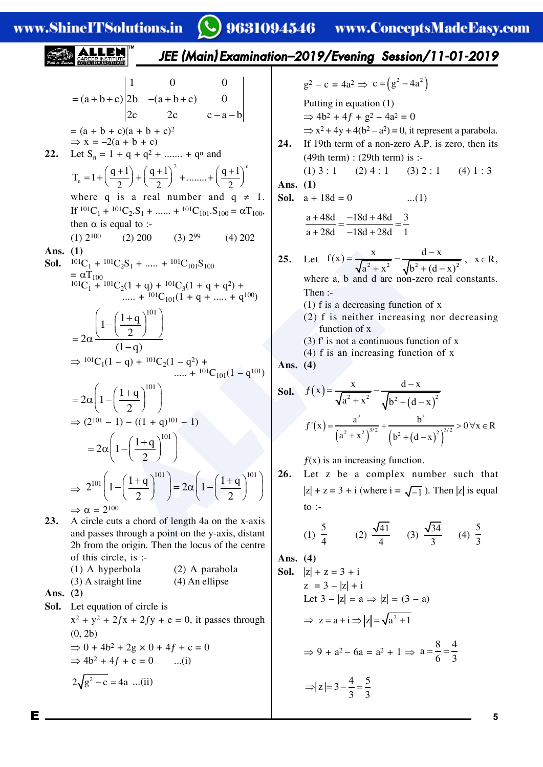**5**

**EXERCISES**  
\n
$$
= (a+b+c)(a+b+c)
$$
\n
$$
= 2a\left(1-\left(\frac{1+a}{2}\right)^{10}\right)
$$
\n
$$
= 2a\left(1-\left(\frac{1+a}{2}\right)^{10}\right)
$$
\n
$$
= 2a\left(1-\left(\frac{1+a}{2}\right)^{10}\right)
$$
\n
$$
= 2a\left(1-\left(\frac{1+a}{2}\right)^{10}\right)
$$
\n
$$
= 2a\left(1-\left(\frac{1+a}{2}\right)^{10}\right)
$$
\n
$$
= 2a\left(1-\left(\frac{1+a}{2}\right)^{10}\right)
$$
\n
$$
= 2a\left(1-\left(\frac{1+a}{2}\right)^{10}\right)
$$
\n
$$
= 2a\left(1+\frac{1+a+c}{2}\right)
$$
\n
$$
= 2a\left(1+\frac{1+a+c}{2}\right)
$$
\n
$$
= 2a\left(1+\frac{1+a+c}{2}\right)
$$
\n
$$
= 2a\left(1+\frac{1+a}{2}\right)
$$
\n
$$
= 2a\left(1+\frac{1+a}{2}\right)
$$
\n
$$
= 2a\left(1+\frac{1+a}{2}\right)
$$
\n
$$
= 2a\left(1+\frac{1+a}{2}\right)
$$
\n
$$
= 2a\left(1+\frac{1+a}{2}\right)
$$
\n
$$
= 2a\left(1+\frac{1+a}{2}\right)
$$
\n
$$
= 2a\left(1+\frac{1+a}{2}\right)
$$
\n
$$
= 2a\left(1+\frac{1+a}{2}\right)
$$
\n
$$
= 2a\left(1-\left(\frac{1+a}{2}\right)^{10}\right)
$$
\n
$$
= 2a\left(1-\left(\frac{1+a}{2}\right)^{10}\right)
$$
\n
$$
= 2a\left(1-\left(\frac{1+a}{2}\right)^{10}\right)
$$
\n
$$
= 2a\left(1-\left(\frac{1+a}{2}\right)^{10}\right)
$$
\n
$$
= 2a\left(1-\left(\frac{1+a}{2}\right)^{10}\right)
$$
\n
$$
= 2a\left(1
$$

E